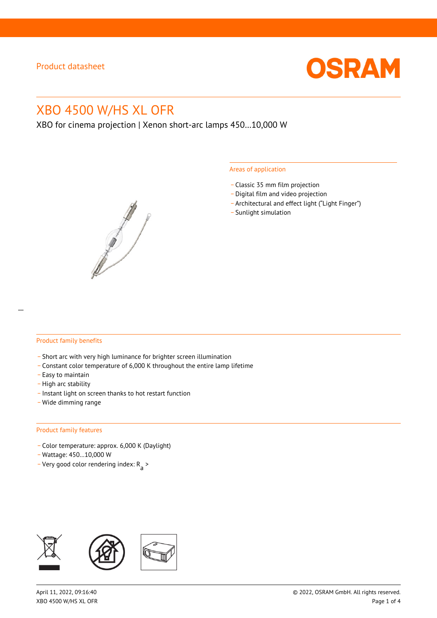

# XBO 4500 W/HS XL OFR

XBO for cinema projection | Xenon short-arc lamps 450…10,000 W



#### Areas of application

- \_ Classic 35 mm film projection
- \_ Digital film and video projection
- \_ Architectural and effect light ("Light Finger")
- Sunlight simulation

#### Product family benefits

- \_ Short arc with very high luminance for brighter screen illumination
- \_ Constant color temperature of 6,000 K throughout the entire lamp lifetime
- \_ Easy to maintain
- High arc stability
- \_ Instant light on screen thanks to hot restart function
- \_ Wide dimming range

#### Product family features

- \_ Color temperature: approx. 6,000 K (Daylight)
- \_ Wattage: 450…10,000 W
- Very good color rendering index:  $R_{\text{a}}$  >

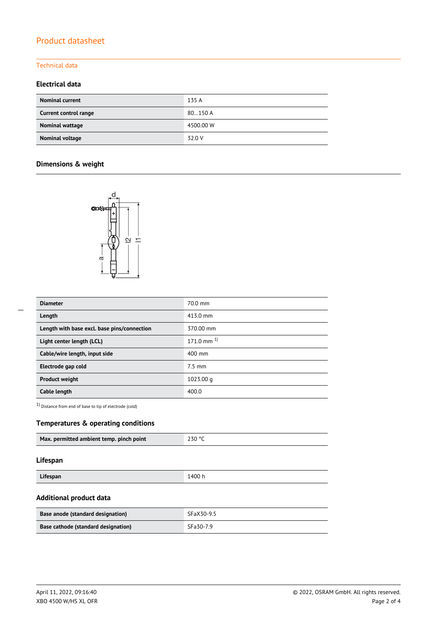# Product datasheet

### Technical data

### **Electrical data**

| <b>Nominal current</b> | 135 A     |
|------------------------|-----------|
| Current control range  | 80150 A   |
| Nominal wattage        | 4500.00 W |
| Nominal voltage        | 32.0 V    |

## **Dimensions & weight**



| <b>Diameter</b>                             | 70.0 mm           |
|---------------------------------------------|-------------------|
| Length                                      | 413.0 mm          |
| Length with base excl. base pins/connection | 370.00 mm         |
| Light center length (LCL)                   | $171.0$ mm $^{1}$ |
| Cable/wire length, input side               | 400 mm            |
| Electrode gap cold                          | $7.5 \text{ mm}$  |
| <b>Product weight</b>                       | 1023.00 g         |
| Cable length                                | 400.0             |

1) Distance from end of base to tip of electrode (cold)

### **Temperatures & operating conditions**

|--|

### **Lifespan**

| Lifespan<br>1400 h |  |
|--------------------|--|

### **Additional product data**

| Base anode (standard designation)   | SFaX30-9.5 |
|-------------------------------------|------------|
| Base cathode (standard designation) | SFa30-7.9  |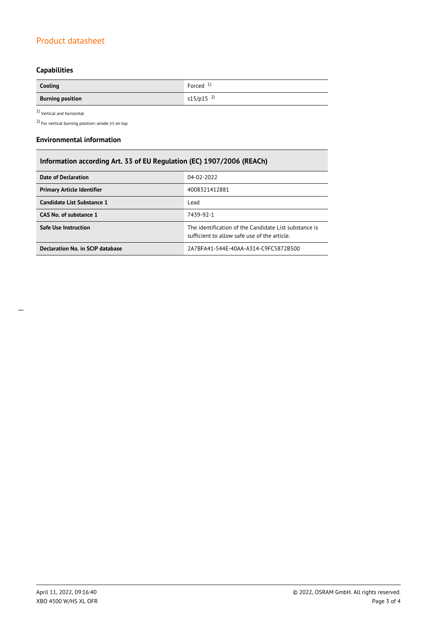# Product datasheet

# **Capabilities**

| Cooling                 | Forced $1$              |
|-------------------------|-------------------------|
| <b>Burning position</b> | $s15/p15$ <sup>2)</sup> |

1) Vertical and horizontal

2) For vertical burning position: anode (+) on top

#### **Environmental information**

| Information according Art. 33 of EU Regulation (EC) 1907/2006 (REACh) |                                                                                                      |  |
|-----------------------------------------------------------------------|------------------------------------------------------------------------------------------------------|--|
| Date of Declaration                                                   | 04-02-2022                                                                                           |  |
| <b>Primary Article Identifier</b>                                     | 4008321412881                                                                                        |  |
| Candidate List Substance 1                                            | Lead                                                                                                 |  |
| CAS No. of substance 1                                                | 7439-92-1                                                                                            |  |
| <b>Safe Use Instruction</b>                                           | The identification of the Candidate List substance is<br>sufficient to allow safe use of the article |  |
| Declaration No. in SCIP database                                      | 2A7BFA41-544E-40AA-A314-C9FC5872B500                                                                 |  |